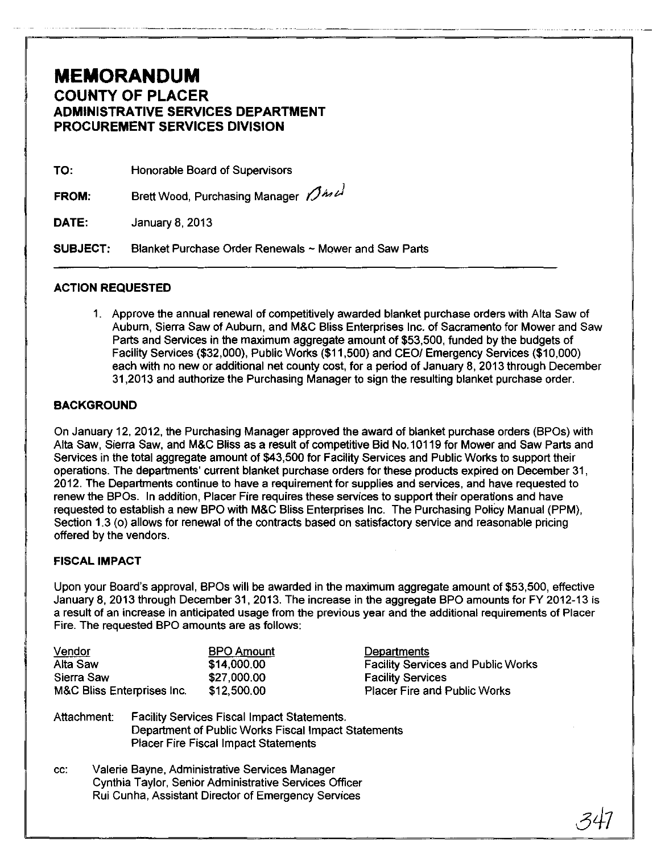# **MEMORANDUM**  COUNTY OF PLACER ADMINISTRATIVE SERVICES DEPARTMENT PROCUREMENT SERVICES DIVISION

TO: Honorable Board of Supervisors

FROM: Brett Wood, Purchasing Manager  $\beta$ *in U* 

DATE: January 8, 2013

SUBJECT: Blanket Purchase Order Renewals ~ Mower and Saw Parts

## ACTION REQUESTED

1. Approve the annual renewal of competitively awarded blanket purchase orders with Alta Saw of Aubum, Sierra Saw of Aubum, and M&C Bliss Enterprises Inc. of Sacramento for Mower and Saw Parts and Services in the maximum aggregate amount of \$53,500, funded by the budgets of Facility Services (\$32,000), Public Works (\$11,500) and CEO/ Emergency Services (\$10,000) each with no new or additional net county cost, for a period of January 8, 2013 through December 31,2013 and authorize the Purchasing Manager to sign the resulting blanket purchase order.

## BACKGROUND

On January 12, 2012, the Purchasing Manager approved the award of blanket purchase orders (BPOs) with Alta Saw, Sierra Saw, and M&C Bliss as a result of competitive Bid NO.10119 for Mower and Saw Parts and Services in the total aggregate amount of \$43,500 for Facility Services and Public Works to support their operations. The departments' current blanket purchase orders for these products expired on December 31 , 2012. The Departments continue to have a requirement for supplies and services, and have requested to renew the BPOs. In addition, Placer Fire requires these services to support their operations and have requested to establish a new BPO with M&C Bliss Enterprises Inc. The Purchasing Policy Manual (PPM), Section 1.3 (0) allows for renewal of the contracts based on satisfactory service and reasonable pricing offered by the vendors.

## FISCAL IMPACT

Upon your Board's approval, BPOs will be awarded in the maximum aggregate amount of \$53,500, effective January 8, 2013 through December 31, 2013. The increase in the aggregate BPO amounts for FY 2012-13 is a result of an increase in anticipated usage from the previous year and the additional requirements of Placer Fire. The requested BPO amounts are as follows:

| Vendor                     | <b>BPO Amount</b> | Departments                               |
|----------------------------|-------------------|-------------------------------------------|
| Alta Saw                   | \$14,000,00       | <b>Facility Services and Public Works</b> |
| Sierra Saw                 | \$27,000.00       | <b>Facility Services</b>                  |
| M&C Bliss Enterprises Inc. | \$12,500,00       | <b>Placer Fire and Public Works</b>       |

- Attachment: Facility Services Fiscal Impact Statements. Department of Public Works Fiscal Impact Statements Placer Fire Fiscal Impact Statements
- cc: Valerie Bayne, Administrative Services Manager Cynthia Taylor, Senior Administrative Services Officer Rui Cunha, Assistant Director of Emergency Services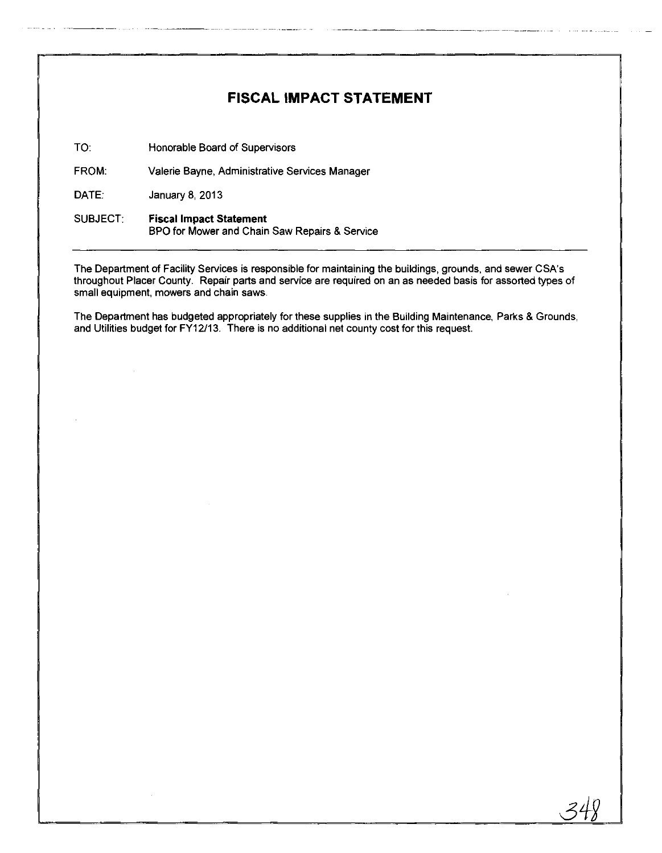# **FISCAL IMPACT STATEMENT**

TO: Honorable Board of Supervisors

FROM: Valerie Bayne, Administrative Services Manager

DATE: January 8, 2013

#### SUBJECT: Fiscal Impact **Statement**  BPO for Mower and Chain Saw Repairs & Service

The Department of Facility Services is responsible for maintaining the buildings, grounds, and sewer CSA's throughout Placer County. Repair parts and service are required on an as needed basis for assorted types of small equipment, mowers and chain saws.

The Department has budgeted appropriately for these supplies in the Building Maintenance, Parks & Grounds, and Utilities budget for FY12/13. There is no additional net county cost for this request.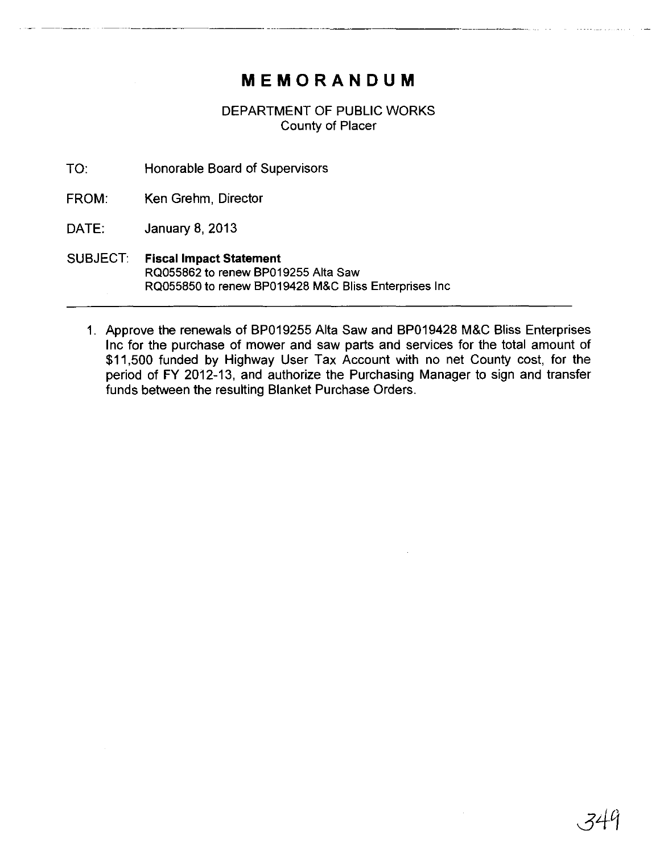# **MEMORANDUM**

--~~----- ------------ ------------~--~

DEPARTMENT OF PUBLIC WORKS County of Placer

TO: Honorable Board of Supervisors

FROM: Ken Grehm, Director

DATE: January 8, 2013

- SUBJECT: Fiscal Impact **Statement**  RQ055862 to renew BP019255 Alta Saw RQ055850 to renew BP019428 M&C Bliss Enterprises Inc
	- 1\_ Approve the renewals of BP019255 Alta Saw and BP019428 M&C Bliss Enterprises Inc for the purchase of mower and saw parts and services for the total amount of \$11,500 funded by Highway User Tax Account with no net County cost, for the period of FY 2012-13, and authorize the Purchasing Manager to sign and transfer funds between the resulting Blanket Purchase Orders.